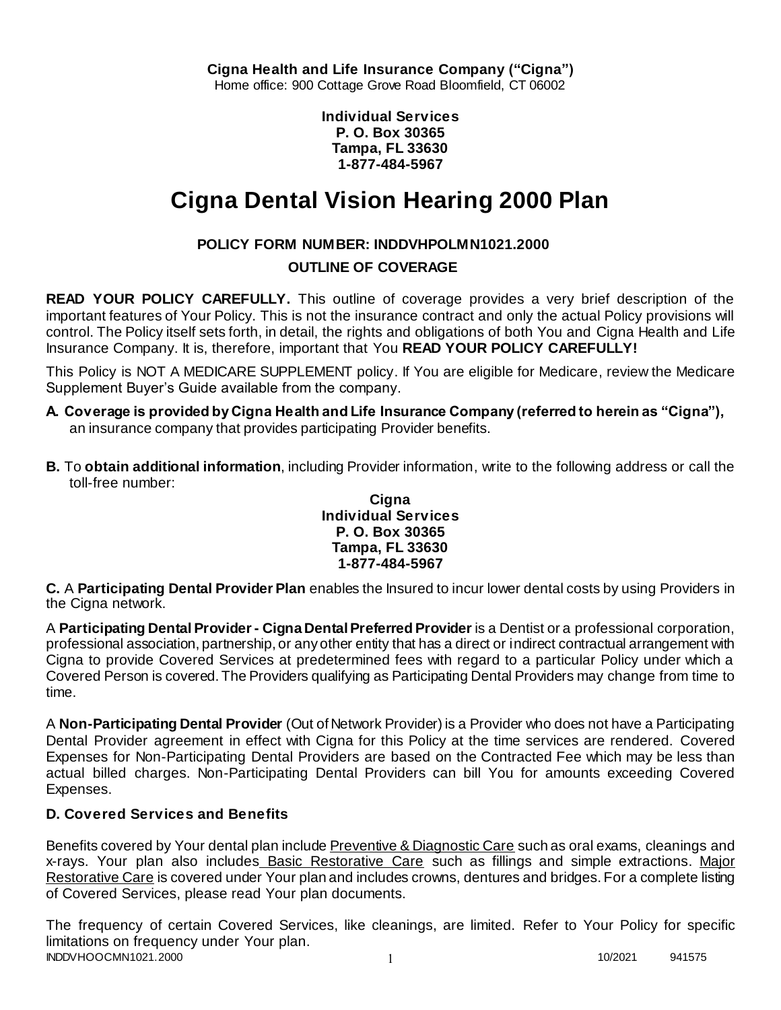**Individual Services P. O. Box 30365 Tampa, FL 33630 1-877-484-5967**

# **Cigna Dental Vision Hearing 2000 Plan**

# **POLICY FORM NUMBER: INDDVHPOLMN1021.2000**

# **OUTLINE OF COVERAGE**

**READ YOUR POLICY CAREFULLY.** This outline of coverage provides a very brief description of the important features of Your Policy. This is not the insurance contract and only the actual Policy provisions will control. The Policy itself sets forth, in detail, the rights and obligations of both You and Cigna Health and Life Insurance Company. It is, therefore, important that You **READ YOUR POLICY CAREFULLY!** 

This Policy is NOT A MEDICARE SUPPLEMENT policy. If You are eligible for Medicare, review the Medicare Supplement Buyer's Guide available from the company.

- **A. Coverage is provided by Cigna Health and Life Insurance Company (referred to herein as "Cigna"),**  an insurance company that provides participating Provider benefits.
- **B.** To **obtain additional information**, including Provider information, write to the following address or call the toll-free number:

### **Cigna Individual Services P. O. Box 30365 Tampa, FL 33630 1-877-484-5967**

**C.** A **Participating Dental Provider Plan** enables the Insured to incur lower dental costs by using Providers in the Cigna network.

A **Participating Dental Provider - Cigna Dental Preferred Provider** is a Dentist or a professional corporation, professional association, partnership, or any other entity that has a direct or indirect contractual arrangement with Cigna to provide Covered Services at predetermined fees with regard to a particular Policy under which a Covered Person is covered. The Providers qualifying as Participating Dental Providers may change from time to time.

A **Non-Participating Dental Provider** (Out of Network Provider) is a Provider who does not have a Participating Dental Provider agreement in effect with Cigna for this Policy at the time services are rendered. Covered Expenses for Non-Participating Dental Providers are based on the Contracted Fee which may be less than actual billed charges. Non-Participating Dental Providers can bill You for amounts exceeding Covered Expenses.

# **D. Covered Services and Benefits**

Benefits covered by Your dental plan include Preventive & Diagnostic Care such as oral exams, cleanings and x-rays. Your plan also includes Basic Restorative Care such as fillings and simple extractions. Major Restorative Care is covered under Your plan and includes crowns, dentures and bridges. For a complete listing of Covered Services, please read Your plan documents.

INDDVHOOCMN1021.2000 1 2000 1 2000 1 2000 1 2000 1 2000 1 2000 1 2000 1 2000 1 2000 1 2000 1 2000 1 2000 1 200 The frequency of certain Covered Services, like cleanings, are limited. Refer to Your Policy for specific limitations on frequency under Your plan.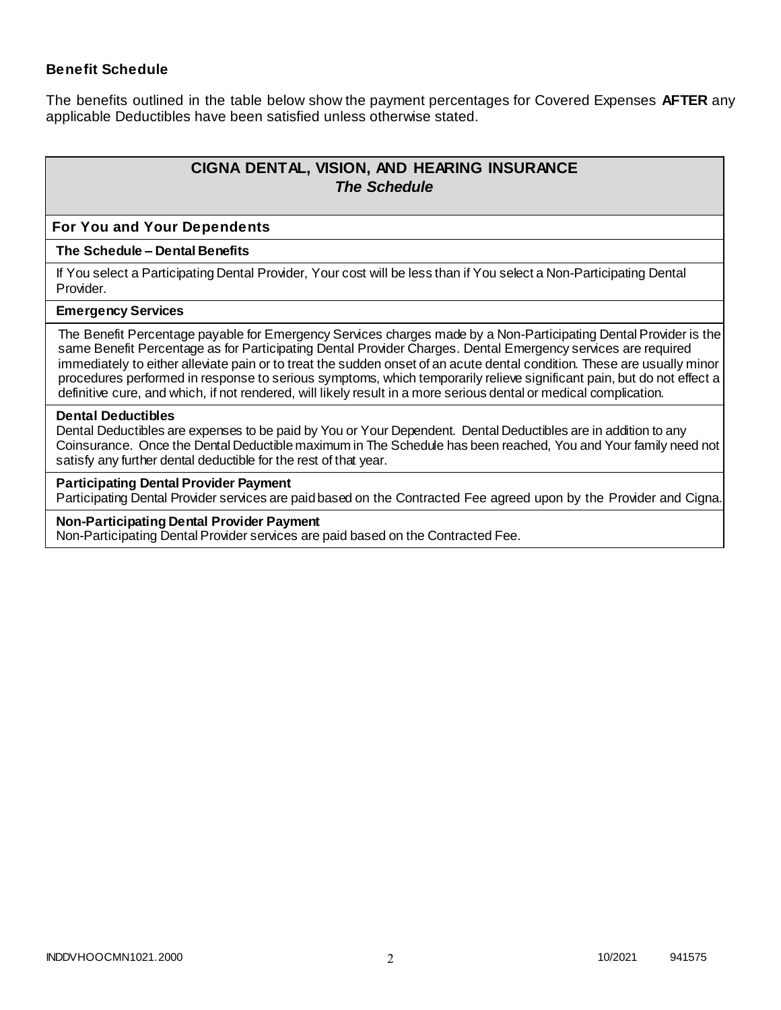### **Benefit Schedule**

The benefits outlined in the table below show the payment percentages for Covered Expenses **AFTER** any applicable Deductibles have been satisfied unless otherwise stated.

# **CIGNA DENTAL, VISION, AND HEARING INSURANCE** *The Schedule*

#### **For You and Your Dependents**

#### **The Schedule – Dental Benefits**

If You select a Participating Dental Provider, Your cost will be less than if You select a Non-Participating Dental Provider.

#### **Emergency Services**

The Benefit Percentage payable for Emergency Services charges made by a Non-Participating Dental Provider is the same Benefit Percentage as for Participating Dental Provider Charges. Dental Emergency services are required immediately to either alleviate pain or to treat the sudden onset of an acute dental condition. These are usually minor procedures performed in response to serious symptoms, which temporarily relieve significant pain, but do not effect a definitive cure, and which, if not rendered, will likely result in a more serious dental or medical complication.

#### **Dental Deductibles**

Dental Deductibles are expenses to be paid by You or Your Dependent. Dental Deductibles are in addition to any Coinsurance. Once the Dental Deductible maximum in The Schedule has been reached, You and Your family need not satisfy any further dental deductible for the rest of that year.

#### **Participating Dental Provider Payment**

Participating Dental Provider services are paid based on the Contracted Fee agreed upon by the Provider and Cigna.

#### **Non-Participating Dental Provider Payment**

Non-Participating Dental Provider services are paid based on the Contracted Fee.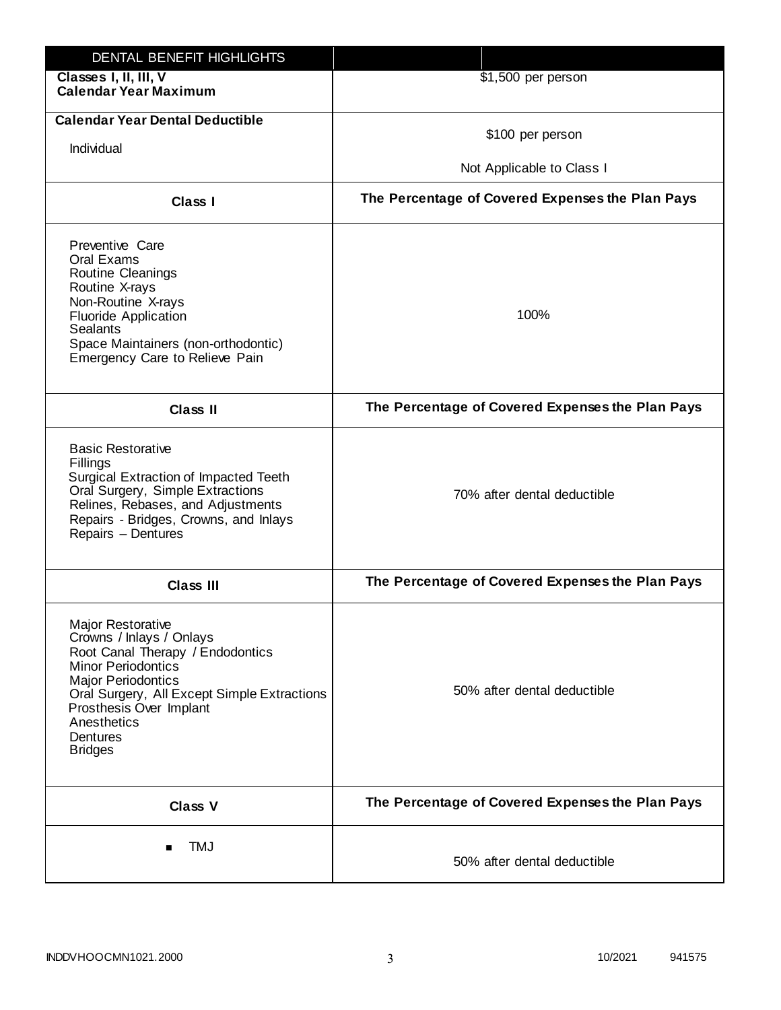| DENTAL BENEFIT HIGHLIGHTS                                                                                                                                                                                                                                          |                                                  |
|--------------------------------------------------------------------------------------------------------------------------------------------------------------------------------------------------------------------------------------------------------------------|--------------------------------------------------|
| Classes I, II, III, V<br><b>Calendar Year Maximum</b>                                                                                                                                                                                                              | $$1,500$ per person                              |
| <b>Calendar Year Dental Deductible</b>                                                                                                                                                                                                                             | \$100 per person                                 |
| Individual                                                                                                                                                                                                                                                         | Not Applicable to Class I                        |
| Class I                                                                                                                                                                                                                                                            | The Percentage of Covered Expenses the Plan Pays |
| Preventive Care<br>Oral Exams<br>Routine Cleanings<br>Routine X-rays<br>Non-Routine X-rays<br><b>Fluoride Application</b><br><b>Sealants</b><br>Space Maintainers (non-orthodontic)<br>Emergency Care to Relieve Pain                                              | 100%                                             |
| <b>Class II</b>                                                                                                                                                                                                                                                    | The Percentage of Covered Expenses the Plan Pays |
| <b>Basic Restorative</b><br>Fillings<br>Surgical Extraction of Impacted Teeth<br>Oral Surgery, Simple Extractions<br>Relines, Rebases, and Adjustments<br>Repairs - Bridges, Crowns, and Inlays<br>Repairs - Dentures                                              | 70% after dental deductible                      |
| <b>Class III</b>                                                                                                                                                                                                                                                   | The Percentage of Covered Expenses the Plan Pays |
| Major Restorative<br>Crowns / Inlays / Onlays<br>Root Canal Therapy / Endodontics<br><b>Minor Periodontics</b><br><b>Major Periodontics</b><br>Oral Surgery, All Except Simple Extractions<br>Prosthesis Over Implant<br>Anesthetics<br>Dentures<br><b>Bridges</b> | 50% after dental deductible                      |
| <b>Class V</b>                                                                                                                                                                                                                                                     | The Percentage of Covered Expenses the Plan Pays |
| <b>TMJ</b>                                                                                                                                                                                                                                                         | 50% after dental deductible                      |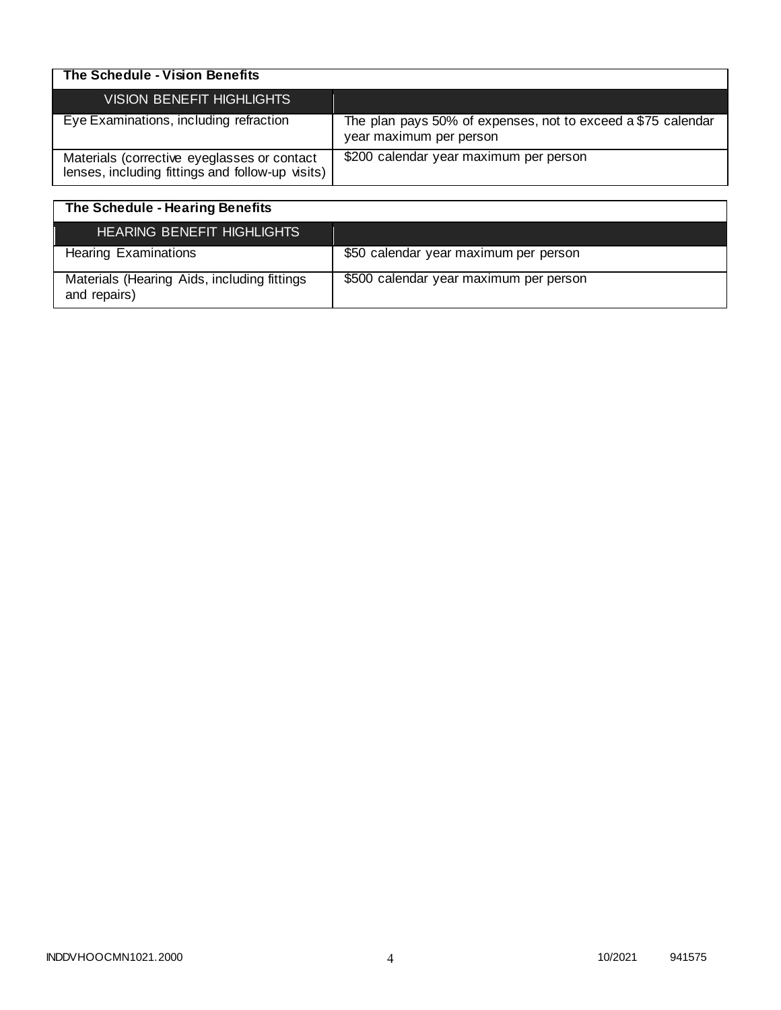| The Schedule - Vision Benefits                                                                  |                                                                                         |
|-------------------------------------------------------------------------------------------------|-----------------------------------------------------------------------------------------|
| VISION BENEFIT HIGHLIGHTS                                                                       |                                                                                         |
| Eye Examinations, including refraction                                                          | The plan pays 50% of expenses, not to exceed a \$75 calendar<br>year maximum per person |
| Materials (corrective eyeglasses or contact<br>lenses, including fittings and follow-up visits) | \$200 calendar year maximum per person                                                  |

| The Schedule - Hearing Benefits                             |                                        |
|-------------------------------------------------------------|----------------------------------------|
| <b>HEARING BENEFIT HIGHLIGHTS</b>                           |                                        |
| <b>Hearing Examinations</b>                                 | \$50 calendar year maximum per person  |
| Materials (Hearing Aids, including fittings<br>and repairs) | \$500 calendar year maximum per person |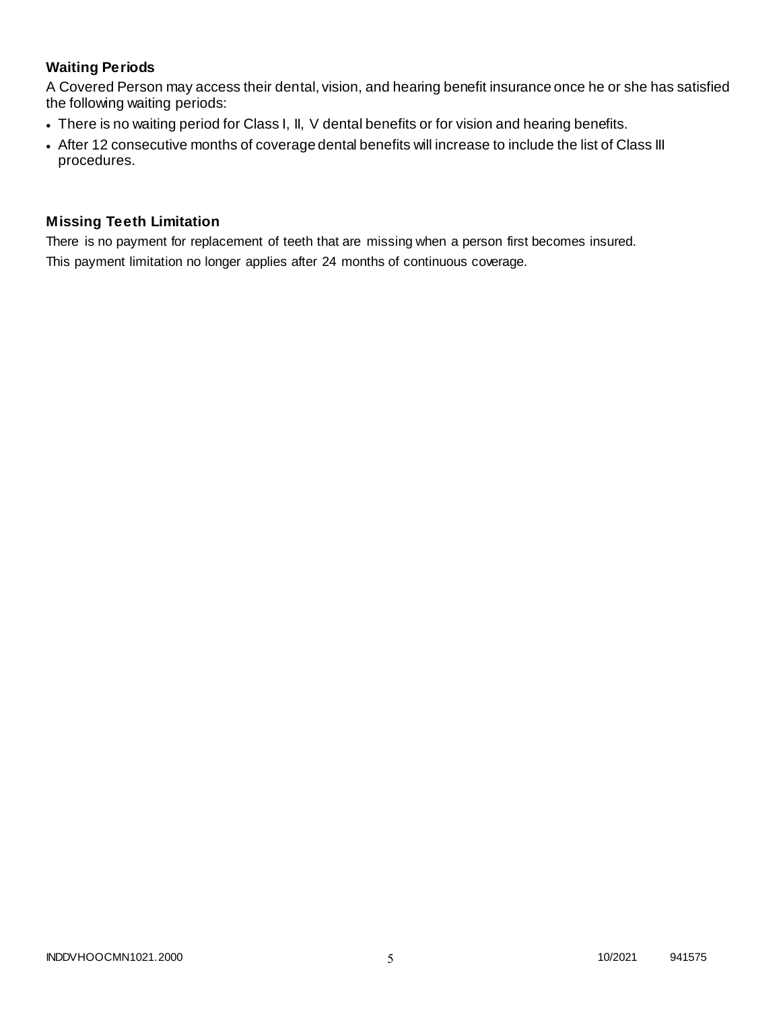# **Waiting Periods**

A Covered Person may access their dental, vision, and hearing benefit insurance once he or she has satisfied the following waiting periods:

- There is no waiting period for Class I, II, V dental benefits or for vision and hearing benefits.
- After 12 consecutive months of coverage dental benefits will increase to include the list of Class III procedures.

### **Missing Teeth Limitation**

There is no payment for replacement of teeth that are missing when a person first becomes insured. This payment limitation no longer applies after 24 months of continuous coverage.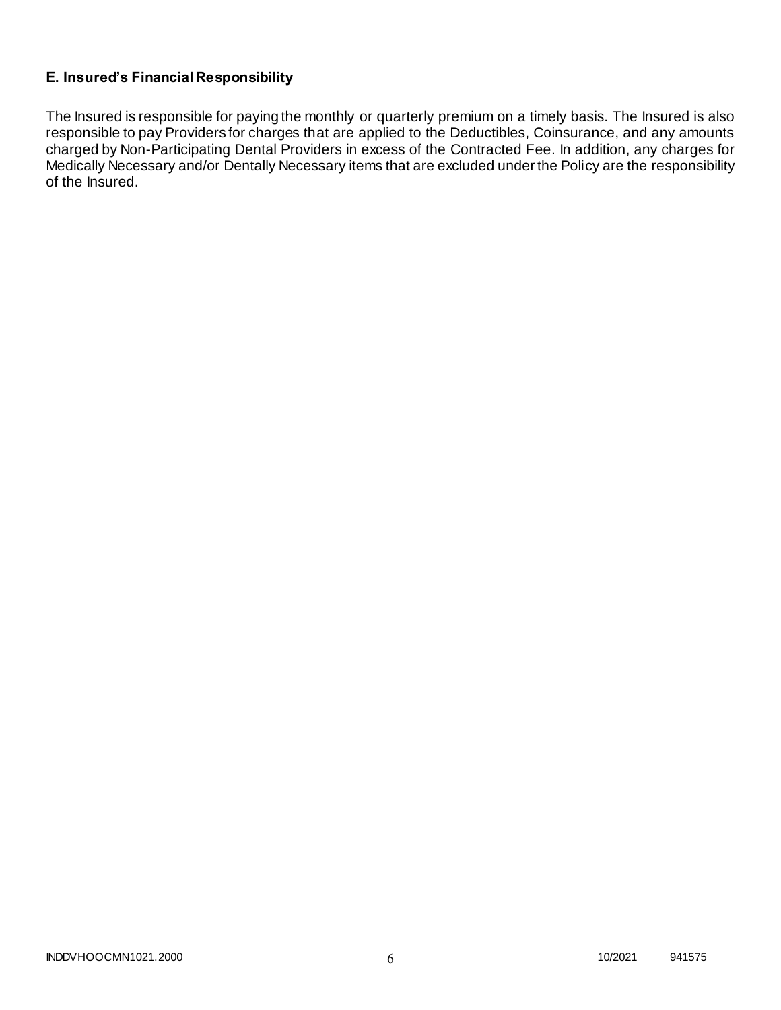# **E. Insured's Financial Responsibility**

The Insured is responsible for paying the monthly or quarterly premium on a timely basis. The Insured is also responsible to pay Providers for charges that are applied to the Deductibles, Coinsurance, and any amounts charged by Non-Participating Dental Providers in excess of the Contracted Fee. In addition, any charges for Medically Necessary and/or Dentally Necessary items that are excluded under the Policy are the responsibility of the Insured.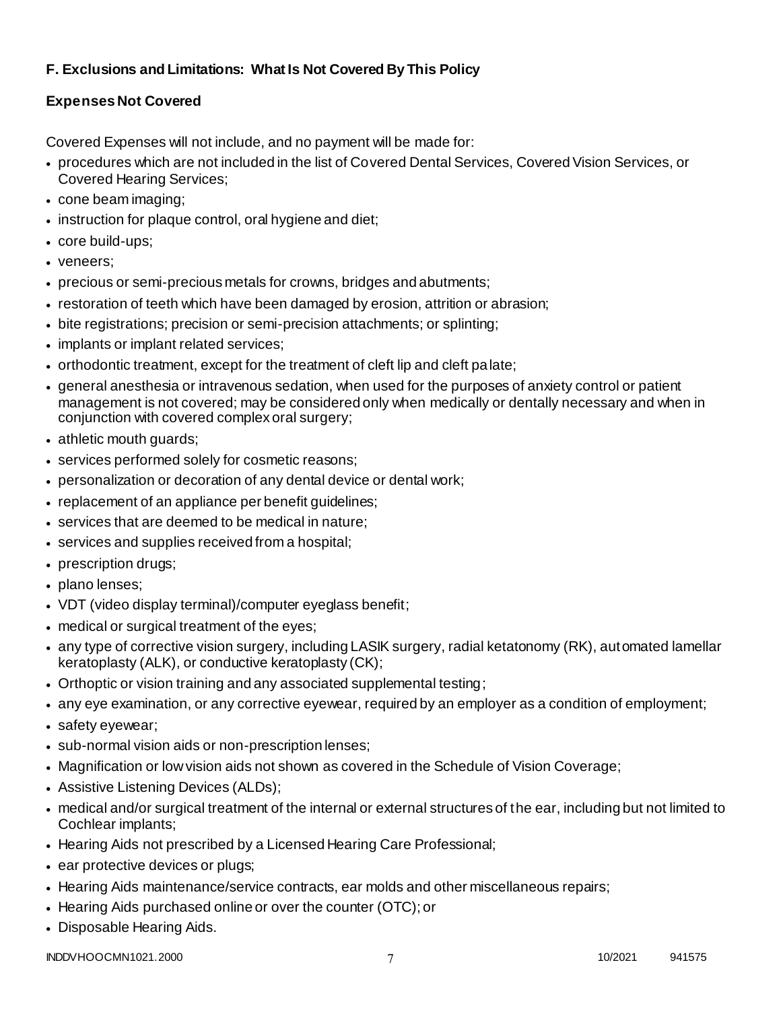# **F. Exclusions and Limitations: What Is Not Covered By This Policy**

# **Expenses Not Covered**

Covered Expenses will not include, and no payment will be made for:

- procedures which are not included in the list of Covered Dental Services, Covered Vision Services, or Covered Hearing Services;
- cone beam imaging;
- instruction for plaque control, oral hygiene and diet;
- core build-ups;
- veneers;
- precious or semi-precious metals for crowns, bridges and abutments;
- restoration of teeth which have been damaged by erosion, attrition or abrasion;
- bite registrations; precision or semi-precision attachments; or splinting;
- implants or implant related services;
- orthodontic treatment, except for the treatment of cleft lip and cleft palate;
- general anesthesia or intravenous sedation, when used for the purposes of anxiety control or patient management is not covered; may be considered only when medically or dentally necessary and when in conjunction with covered complex oral surgery;
- athletic mouth guards;
- services performed solely for cosmetic reasons;
- personalization or decoration of any dental device or dental work;
- replacement of an appliance per benefit guidelines;
- services that are deemed to be medical in nature;
- services and supplies received from a hospital;
- prescription drugs;
- plano lenses:
- VDT (video display terminal)/computer eyeglass benefit;
- medical or surgical treatment of the eyes;
- any type of corrective vision surgery, including LASIK surgery, radial ketatonomy (RK), automated lamellar keratoplasty (ALK), or conductive keratoplasty (CK);
- Orthoptic or vision training and any associated supplemental testing;
- any eye examination, or any corrective eyewear, required by an employer as a condition of employment;
- safety eyewear;
- sub-normal vision aids or non-prescription lenses;
- Magnification or low vision aids not shown as covered in the Schedule of Vision Coverage;
- Assistive Listening Devices (ALDs);
- medical and/or surgical treatment of the internal or external structures of the ear, including but not limited to Cochlear implants;
- Hearing Aids not prescribed by a Licensed Hearing Care Professional;
- ear protective devices or plugs;
- Hearing Aids maintenance/service contracts, ear molds and other miscellaneous repairs;
- Hearing Aids purchased online or over the counter (OTC); or
- Disposable Hearing Aids.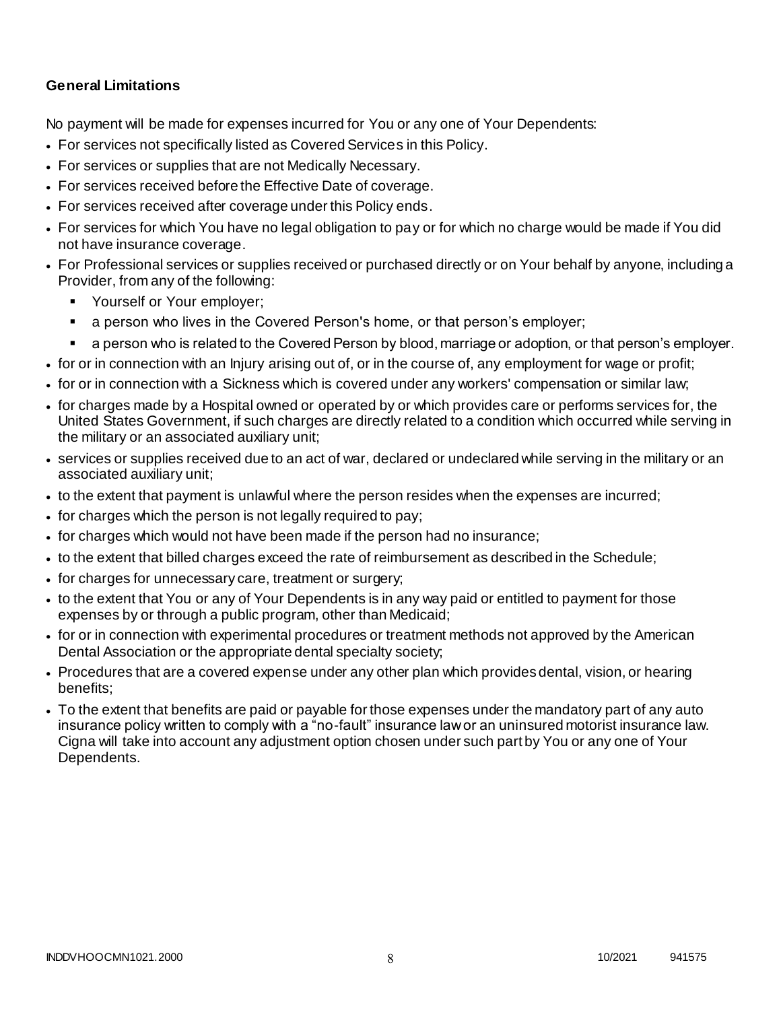### **General Limitations**

No payment will be made for expenses incurred for You or any one of Your Dependents:

- For services not specifically listed as Covered Services in this Policy.
- For services or supplies that are not Medically Necessary.
- For services received before the Effective Date of coverage.
- For services received after coverage under this Policy ends.
- For services for which You have no legal obligation to pay or for which no charge would be made if You did not have insurance coverage.
- For Professional services or supplies received or purchased directly or on Your behalf by anyone, including a Provider, from any of the following:
	- **Yourself or Your employer;**
	- a person who lives in the Covered Person's home, or that person's employer;
	- a person who is related to the Covered Person by blood, marriage or adoption, or that person's employer.
- for or in connection with an Injury arising out of, or in the course of, any employment for wage or profit;
- for or in connection with a Sickness which is covered under any workers' compensation or similar law;
- for charges made by a Hospital owned or operated by or which provides care or performs services for, the United States Government, if such charges are directly related to a condition which occurred while serving in the military or an associated auxiliary unit;
- services or supplies received due to an act of war, declared or undeclared while serving in the military or an associated auxiliary unit;
- to the extent that payment is unlawful where the person resides when the expenses are incurred;
- for charges which the person is not legally required to pay;
- for charges which would not have been made if the person had no insurance;
- to the extent that billed charges exceed the rate of reimbursement as described in the Schedule;
- for charges for unnecessary care, treatment or surgery;
- to the extent that You or any of Your Dependents is in any way paid or entitled to payment for those expenses by or through a public program, other than Medicaid;
- for or in connection with experimental procedures or treatment methods not approved by the American Dental Association or the appropriate dental specialty society;
- Procedures that are a covered expense under any other plan which provides dental, vision, or hearing benefits;
- To the extent that benefits are paid or payable for those expenses under the mandatory part of any auto insurance policy written to comply with a "no-fault" insurance law or an uninsured motorist insurance law. Cigna will take into account any adjustment option chosen under such part by You or any one of Your Dependents.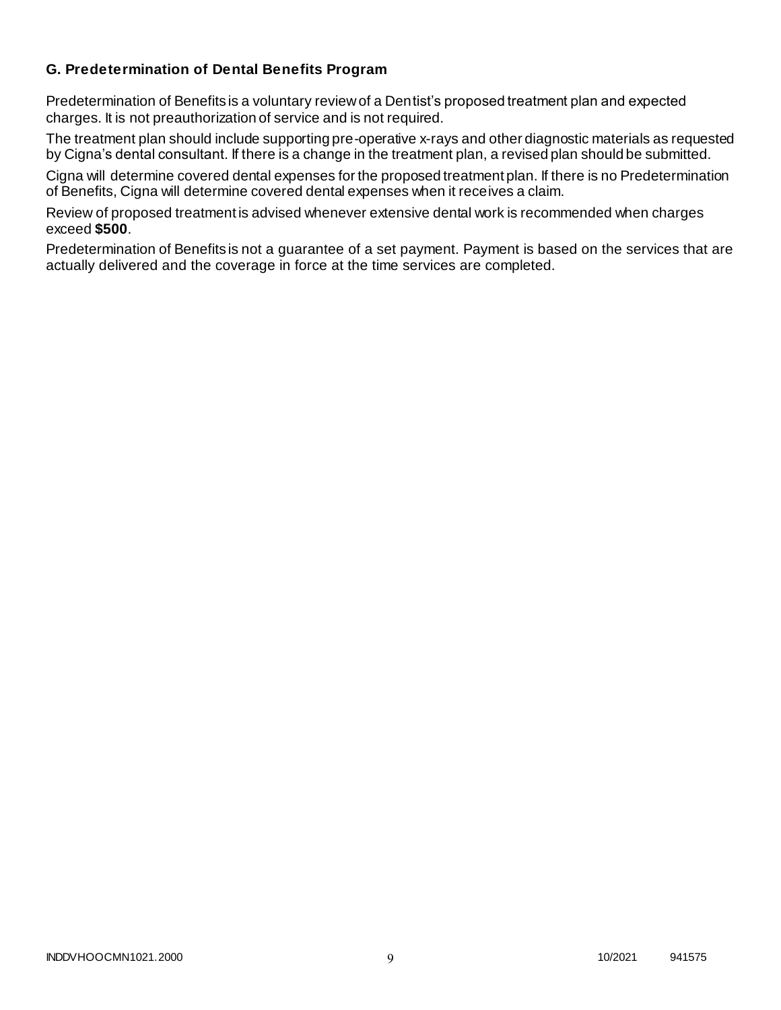### **G. Predetermination of Dental Benefits Program**

Predetermination of Benefits is a voluntary review of a Dentist's proposed treatment plan and expected charges. It is not preauthorization of service and is not required.

The treatment plan should include supporting pre-operative x-rays and other diagnostic materials as requested by Cigna's dental consultant. If there is a change in the treatment plan, a revised plan should be submitted.

Cigna will determine covered dental expenses for the proposed treatment plan. If there is no Predetermination of Benefits, Cigna will determine covered dental expenses when it receives a claim.

Review of proposed treatment is advised whenever extensive dental work is recommended when charges exceed **\$500**.

Predetermination of Benefits is not a guarantee of a set payment. Payment is based on the services that are actually delivered and the coverage in force at the time services are completed.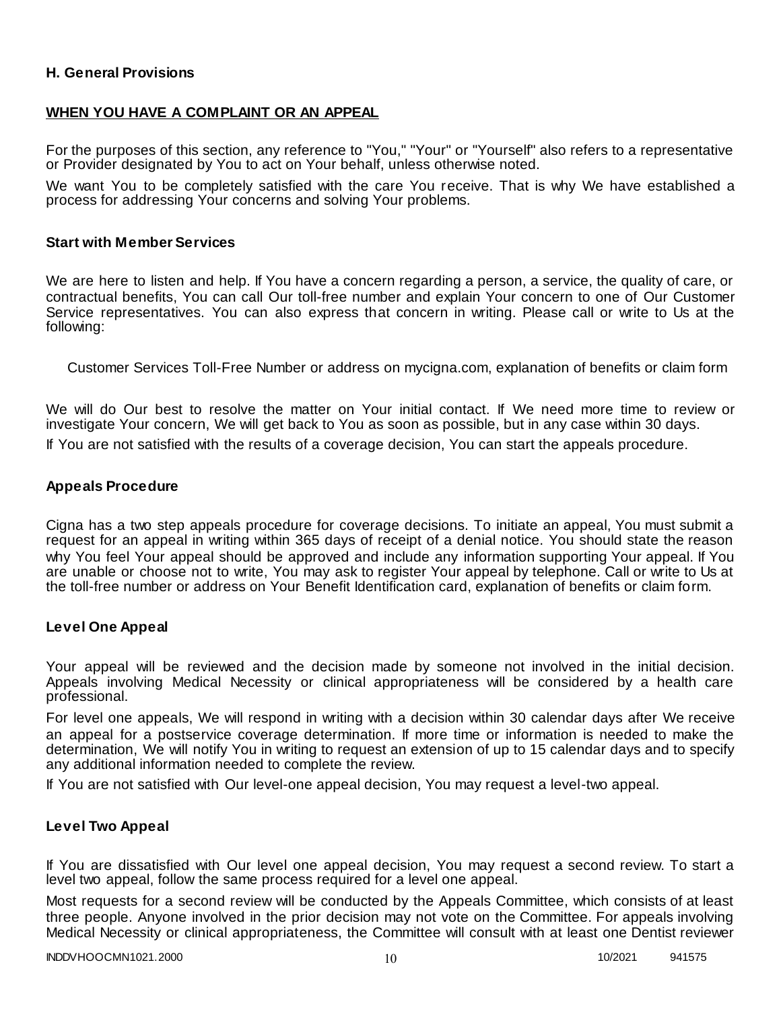### **H. General Provisions**

### **WHEN YOU HAVE A COMPLAINT OR AN APPEAL**

For the purposes of this section, any reference to "You," "Your" or "Yourself" also refers to a representative or Provider designated by You to act on Your behalf, unless otherwise noted.

We want You to be completely satisfied with the care You receive. That is why We have established a process for addressing Your concerns and solving Your problems.

#### **Start with Member Services**

We are here to listen and help. If You have a concern regarding a person, a service, the quality of care, or contractual benefits, You can call Our toll-free number and explain Your concern to one of Our Customer Service representatives. You can also express that concern in writing. Please call or write to Us at the following:

Customer Services Toll-Free Number or address on mycigna.com, explanation of benefits or claim form

We will do Our best to resolve the matter on Your initial contact. If We need more time to review or investigate Your concern, We will get back to You as soon as possible, but in any case within 30 days.

If You are not satisfied with the results of a coverage decision, You can start the appeals procedure.

#### **Appeals Procedure**

Cigna has a two step appeals procedure for coverage decisions. To initiate an appeal, You must submit a request for an appeal in writing within 365 days of receipt of a denial notice. You should state the reason why You feel Your appeal should be approved and include any information supporting Your appeal. If You are unable or choose not to write, You may ask to register Your appeal by telephone. Call or write to Us at the toll-free number or address on Your Benefit Identification card, explanation of benefits or claim form.

#### **Level One Appeal**

Your appeal will be reviewed and the decision made by someone not involved in the initial decision. Appeals involving Medical Necessity or clinical appropriateness will be considered by a health care professional.

For level one appeals, We will respond in writing with a decision within 30 calendar days after We receive an appeal for a postservice coverage determination. If more time or information is needed to make the determination, We will notify You in writing to request an extension of up to 15 calendar days and to specify any additional information needed to complete the review.

If You are not satisfied with Our level-one appeal decision, You may request a level-two appeal.

#### **Level Two Appeal**

If You are dissatisfied with Our level one appeal decision, You may request a second review. To start a level two appeal, follow the same process required for a level one appeal.

Most requests for a second review will be conducted by the Appeals Committee, which consists of at least three people. Anyone involved in the prior decision may not vote on the Committee. For appeals involving Medical Necessity or clinical appropriateness, the Committee will consult with at least one Dentist reviewer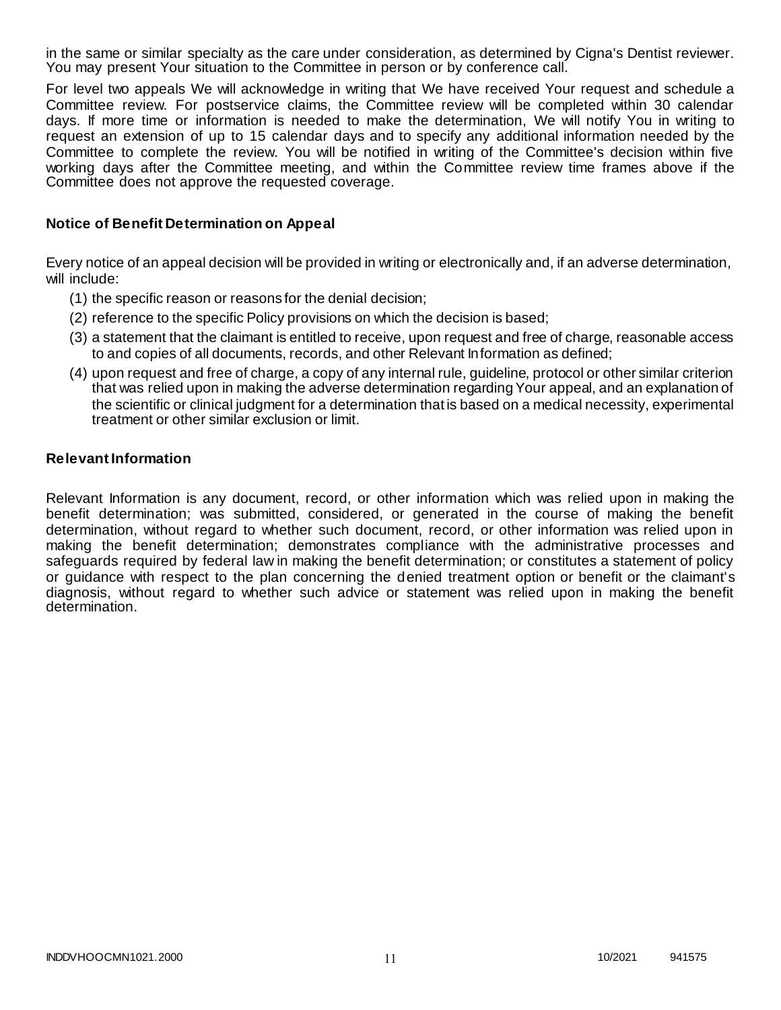in the same or similar specialty as the care under consideration, as determined by Cigna's Dentist reviewer. You may present Your situation to the Committee in person or by conference call.

For level two appeals We will acknowledge in writing that We have received Your request and schedule a Committee review. For postservice claims, the Committee review will be completed within 30 calendar days. If more time or information is needed to make the determination, We will notify You in writing to request an extension of up to 15 calendar days and to specify any additional information needed by the Committee to complete the review. You will be notified in writing of the Committee's decision within five working days after the Committee meeting, and within the Committee review time frames above if the Committee does not approve the requested coverage.

### **Notice of Benefit Determination on Appeal**

Every notice of an appeal decision will be provided in writing or electronically and, if an adverse determination, will include:

- (1) the specific reason or reasons for the denial decision;
- (2) reference to the specific Policy provisions on which the decision is based;
- (3) a statement that the claimant is entitled to receive, upon request and free of charge, reasonable access to and copies of all documents, records, and other Relevant Information as defined;
- (4) upon request and free of charge, a copy of any internal rule, guideline, protocol or other similar criterion that was relied upon in making the adverse determination regarding Your appeal, and an explanation of the scientific or clinical judgment for a determination that is based on a medical necessity, experimental treatment or other similar exclusion or limit.

#### **Relevant Information**

Relevant Information is any document, record, or other information which was relied upon in making the benefit determination; was submitted, considered, or generated in the course of making the benefit determination, without regard to whether such document, record, or other information was relied upon in making the benefit determination; demonstrates compliance with the administrative processes and safeguards required by federal law in making the benefit determination; or constitutes a statement of policy or guidance with respect to the plan concerning the denied treatment option or benefit or the claimant's diagnosis, without regard to whether such advice or statement was relied upon in making the benefit determination.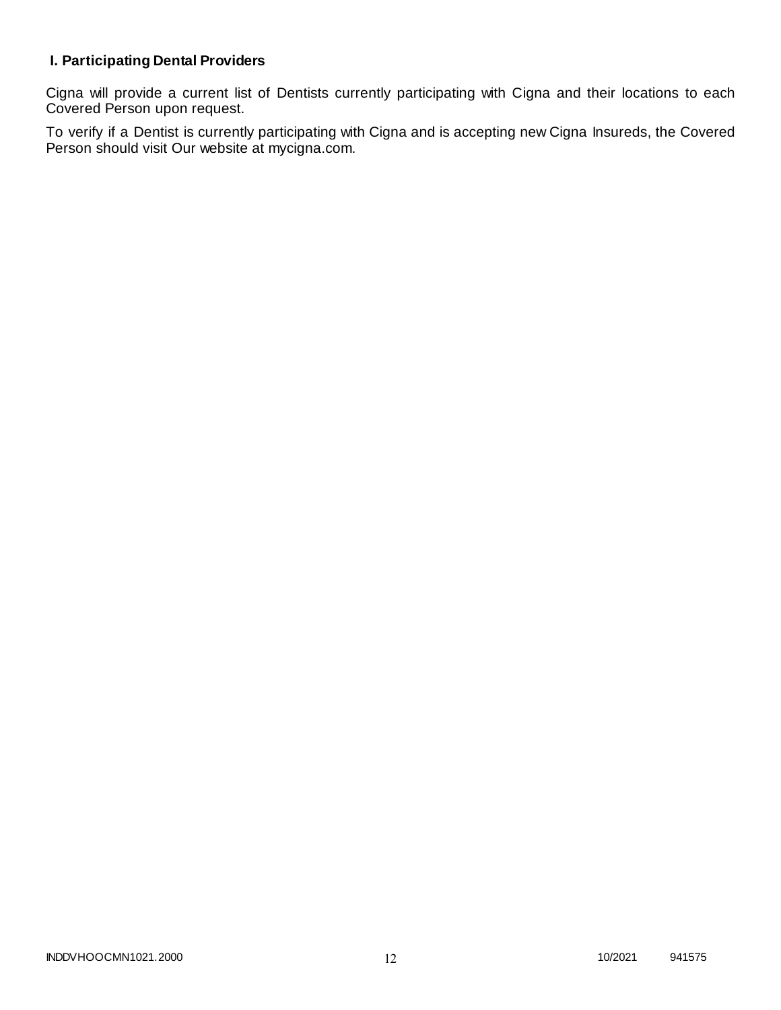# **I. Participating Dental Providers**

Cigna will provide a current list of Dentists currently participating with Cigna and their locations to each Covered Person upon request.

To verify if a Dentist is currently participating with Cigna and is accepting new Cigna Insureds, the Covered Person should visit Our website at mycigna.com.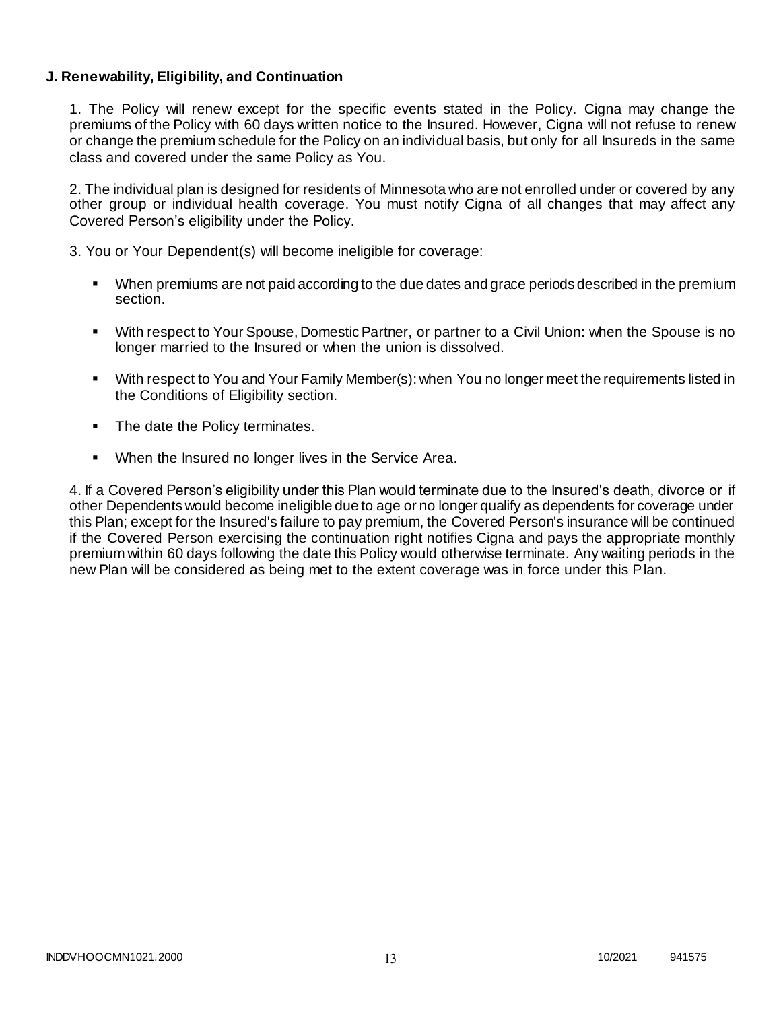### **J. Renewability, Eligibility, and Continuation**

1. The Policy will renew except for the specific events stated in the Policy. Cigna may change the premiums of the Policy with 60 days written notice to the Insured. However, Cigna will not refuse to renew or change the premium schedule for the Policy on an individual basis, but only for all Insureds in the same class and covered under the same Policy as You.

2. The individual plan is designed for residents of Minnesota who are not enrolled under or covered by any other group or individual health coverage. You must notify Cigna of all changes that may affect any Covered Person's eligibility under the Policy.

3. You or Your Dependent(s) will become ineligible for coverage:

- When premiums are not paid according to the due dates and grace periods described in the premium section.
- With respect to Your Spouse, Domestic Partner, or partner to a Civil Union: when the Spouse is no longer married to the Insured or when the union is dissolved.
- With respect to You and Your Family Member(s): when You no longer meet the requirements listed in the Conditions of Eligibility section.
- The date the Policy terminates.
- When the Insured no longer lives in the Service Area.

4. If a Covered Person's eligibility under this Plan would terminate due to the Insured's death, divorce or if other Dependents would become ineligible due to age or no longer qualify as dependents for coverage under this Plan; except for the Insured's failure to pay premium, the Covered Person's insurance will be continued if the Covered Person exercising the continuation right notifies Cigna and pays the appropriate monthly premium within 60 days following the date this Policy would otherwise terminate. Any waiting periods in the new Plan will be considered as being met to the extent coverage was in force under this Plan.